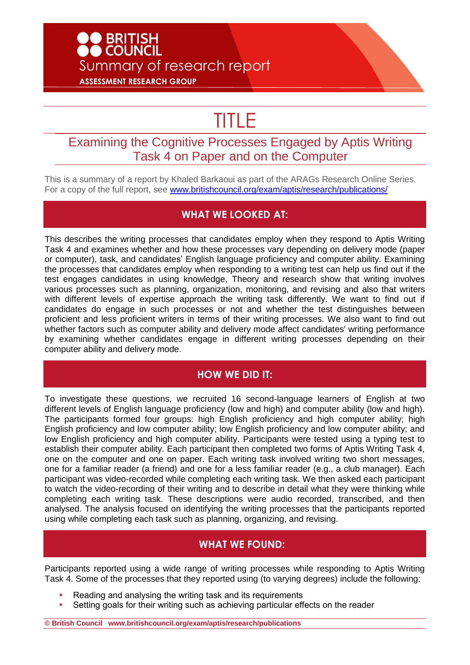# **D** BRITISH<br>• COUNCIL Summary of research report **ASSESSMENT RESEARCH GROUP**

# TITLE

## Examining the Cognitive Processes Engaged by Aptis Writing Task 4 on Paper and on the Computer

This is a summary of a report by Khaled Barkaoui as part of the ARAGs Research Online Series. For a copy of the full report, see [www.britishcouncil.org/exam/aptis/research/publications/](http://www.britishcouncil.org/exam/aptis/research/publications/)

#### **WHAT WE LOOKED AT:**

This describes the writing processes that candidates employ when they respond to Aptis Writing Task 4 and examines whether and how these processes vary depending on delivery mode (paper or computer), task, and candidates' English language proficiency and computer ability. Examining the processes that candidates employ when responding to a writing test can help us find out if the test engages candidates in using knowledge, Theory and research show that writing involves various processes such as planning, organization, monitoring, and revising and also that writers with different levels of expertise approach the writing task differently. We want to find out if candidates do engage in such processes or not and whether the test distinguishes between proficient and less proficient writers in terms of their writing processes. We also want to find out whether factors such as computer ability and delivery mode affect candidates' writing performance by examining whether candidates engage in different writing processes depending on their computer ability and delivery mode.

#### **HOW WE DID IT:**

To investigate these questions, we recruited 16 second-language learners of English at two different levels of English language proficiency (low and high) and computer ability (low and high). The participants formed four groups: high English proficiency and high computer ability; high English proficiency and low computer ability; low English proficiency and low computer ability; and low English proficiency and high computer ability. Participants were tested using a typing test to establish their computer ability. Each participant then completed two forms of Aptis Writing Task 4, one on the computer and one on paper. Each writing task involved writing two short messages, one for a familiar reader (a friend) and one for a less familiar reader (e.g., a club manager). Each participant was video-recorded while completing each writing task. We then asked each participant to watch the video-recording of their writing and to describe in detail what they were thinking while completing each writing task. These descriptions were audio recorded, transcribed, and then analysed. The analysis focused on identifying the writing processes that the participants reported using while completing each task such as planning, organizing, and revising.

#### **WHAT WE FOUND:**

Participants reported using a wide range of writing processes while responding to Aptis Writing Task 4. Some of the processes that they reported using (to varying degrees) include the following:

- Reading and analysing the writing task and its requirements
- Setting goals for their writing such as achieving particular effects on the reader